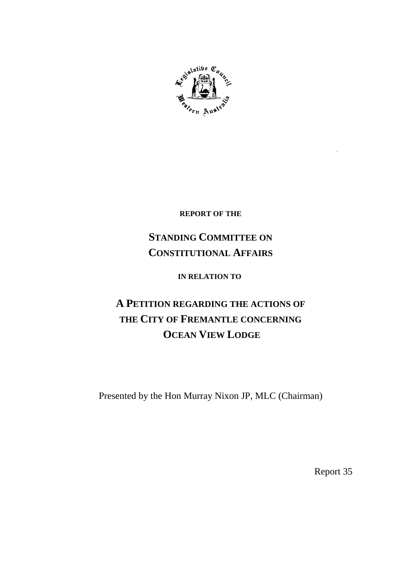

**REPORT OF THE**

# **STANDING COMMITTEE ON CONSTITUTIONAL AFFAIRS**

**IN RELATION TO**

# **A PETITION REGARDING THE ACTIONS OF THE CITY OF FREMANTLE CONCERNING OCEAN VIEW LODGE**

Presented by the Hon Murray Nixon JP, MLC (Chairman)

Report 35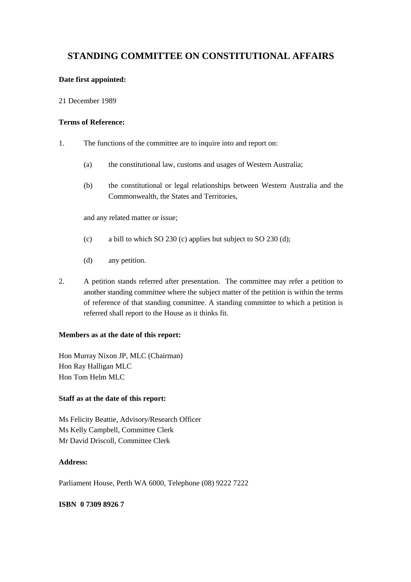# **STANDING COMMITTEE ON CONSTITUTIONAL AFFAIRS**

#### **Date first appointed:**

21 December 1989

#### **Terms of Reference:**

- 1. The functions of the committee are to inquire into and report on:
	- (a) the constitutional law, customs and usages of Western Australia;
	- (b) the constitutional or legal relationships between Western Australia and the Commonwealth, the States and Territories,

and any related matter or issue;

- (c) a bill to which SO 230 (c) applies but subject to SO 230 (d);
- (d) any petition.
- 2. A petition stands referred after presentation. The committee may refer a petition to another standing committee where the subject matter of the petition is within the terms of reference of that standing committee. A standing committee to which a petition is referred shall report to the House as it thinks fit.

#### **Members as at the date of this report:**

Hon Murray Nixon JP, MLC (Chairman) Hon Ray Halligan MLC Hon Tom Helm MLC

#### **Staff as at the date of this report:**

Ms Felicity Beattie, Advisory/Research Officer Ms Kelly Campbell, Committee Clerk Mr David Driscoll, Committee Clerk

## **Address:**

Parliament House, Perth WA 6000, Telephone (08) 9222 7222

#### **ISBN 0 7309 8926 7**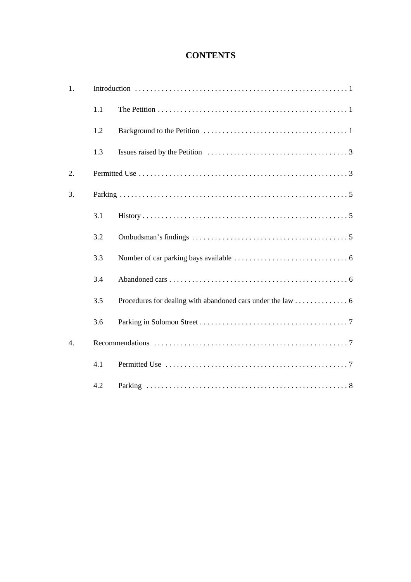# **CONTENTS**

| 1.               |     |  |
|------------------|-----|--|
|                  | 1.1 |  |
|                  | 1.2 |  |
|                  | 1.3 |  |
| 2.               |     |  |
| 3.               |     |  |
|                  | 3.1 |  |
|                  | 3.2 |  |
|                  | 3.3 |  |
|                  | 3.4 |  |
|                  | 3.5 |  |
|                  | 3.6 |  |
| $\overline{4}$ . |     |  |
|                  | 4.1 |  |
|                  | 4.2 |  |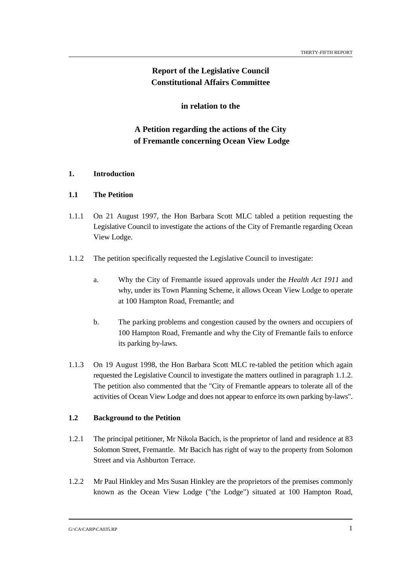# **Report of the Legislative Council Constitutional Affairs Committee**

**in relation to the**

# **A Petition regarding the actions of the City of Fremantle concerning Ocean View Lodge**

#### **1. Introduction**

#### **1.1 The Petition**

- 1.1.1 On 21 August 1997, the Hon Barbara Scott MLC tabled a petition requesting the Legislative Council to investigate the actions of the City of Fremantle regarding Ocean View Lodge.
- 1.1.2 The petition specifically requested the Legislative Council to investigate:
	- a. Why the City of Fremantle issued approvals under the *Health Act 1911* and why, under its Town Planning Scheme, it allows Ocean View Lodge to operate at 100 Hampton Road, Fremantle; and
	- b. The parking problems and congestion caused by the owners and occupiers of 100 Hampton Road, Fremantle and why the City of Fremantle fails to enforce its parking by-laws.
- 1.1.3 On 19 August 1998, the Hon Barbara Scott MLC re-tabled the petition which again requested the Legislative Council to investigate the matters outlined in paragraph 1.1.2. The petition also commented that the "City of Fremantle appears to tolerate all of the activities of Ocean View Lodge and does not appear to enforce its own parking by-laws".

#### **1.2 Background to the Petition**

- 1.2.1 The principal petitioner, Mr Nikola Bacich, is the proprietor of land and residence at 83 Solomon Street, Fremantle. Mr Bacich has right of way to the property from Solomon Street and via Ashburton Terrace.
- 1.2.2 Mr Paul Hinkley and Mrs Susan Hinkley are the proprietors of the premises commonly known as the Ocean View Lodge ("the Lodge") situated at 100 Hampton Road,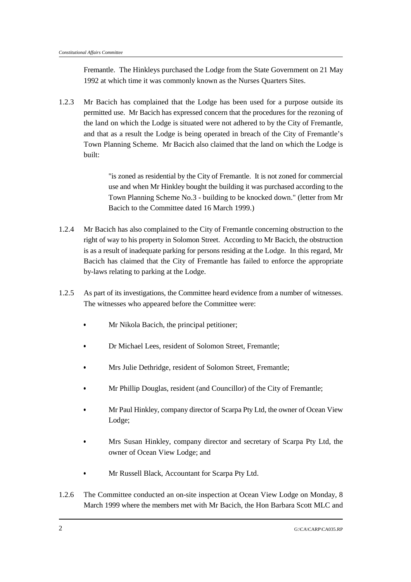Fremantle. The Hinkleys purchased the Lodge from the State Government on 21 May 1992 at which time it was commonly known as the Nurses Quarters Sites.

1.2.3 Mr Bacich has complained that the Lodge has been used for a purpose outside its permitted use. Mr Bacich has expressed concern that the procedures for the rezoning of the land on which the Lodge is situated were not adhered to by the City of Fremantle, and that as a result the Lodge is being operated in breach of the City of Fremantle's Town Planning Scheme. Mr Bacich also claimed that the land on which the Lodge is built:

> "is zoned as residential by the City of Fremantle. It is not zoned for commercial use and when Mr Hinkley bought the building it was purchased according to the Town Planning Scheme No.3 - building to be knocked down." (letter from Mr Bacich to the Committee dated 16 March 1999.)

- 1.2.4 Mr Bacich has also complained to the City of Fremantle concerning obstruction to the right of way to his property in Solomon Street. According to Mr Bacich, the obstruction is as a result of inadequate parking for persons residing at the Lodge. In this regard, Mr Bacich has claimed that the City of Fremantle has failed to enforce the appropriate by-laws relating to parking at the Lodge.
- 1.2.5 As part of its investigations, the Committee heard evidence from a number of witnesses. The witnesses who appeared before the Committee were:
	- Mr Nikola Bacich, the principal petitioner;
	- Dr Michael Lees, resident of Solomon Street, Fremantle;
	- Mrs Julie Dethridge, resident of Solomon Street, Fremantle;
	- Mr Phillip Douglas, resident (and Councillor) of the City of Fremantle;
	- Mr Paul Hinkley, company director of Scarpa Pty Ltd, the owner of Ocean View Lodge;
	- Mrs Susan Hinkley, company director and secretary of Scarpa Pty Ltd, the owner of Ocean View Lodge; and
	- Mr Russell Black, Accountant for Scarpa Pty Ltd.
- 1.2.6 The Committee conducted an on-site inspection at Ocean View Lodge on Monday, 8 March 1999 where the members met with Mr Bacich, the Hon Barbara Scott MLC and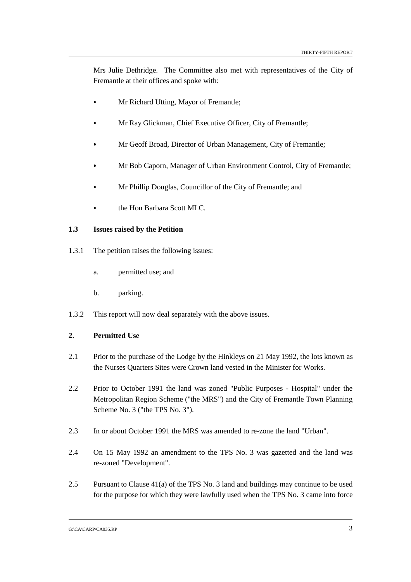Mrs Julie Dethridge. The Committee also met with representatives of the City of Fremantle at their offices and spoke with:

- Mr Richard Utting, Mayor of Fremantle;
- Mr Ray Glickman, Chief Executive Officer, City of Fremantle;
- Mr Geoff Broad, Director of Urban Management, City of Fremantle;
- Mr Bob Caporn, Manager of Urban Environment Control, City of Fremantle;
- Mr Phillip Douglas, Councillor of the City of Fremantle; and
- the Hon Barbara Scott MLC.

#### **1.3 Issues raised by the Petition**

- 1.3.1 The petition raises the following issues:
	- a. permitted use; and
	- b. parking.
- 1.3.2 This report will now deal separately with the above issues.

#### **2. Permitted Use**

- 2.1 Prior to the purchase of the Lodge by the Hinkleys on 21 May 1992, the lots known as the Nurses Quarters Sites were Crown land vested in the Minister for Works.
- 2.2 Prior to October 1991 the land was zoned "Public Purposes Hospital" under the Metropolitan Region Scheme ("the MRS") and the City of Fremantle Town Planning Scheme No. 3 ("the TPS No. 3").
- 2.3 In or about October 1991 the MRS was amended to re-zone the land "Urban".
- 2.4 On 15 May 1992 an amendment to the TPS No. 3 was gazetted and the land was re-zoned "Development".
- 2.5 Pursuant to Clause 41(a) of the TPS No. 3 land and buildings may continue to be used for the purpose for which they were lawfully used when the TPS No. 3 came into force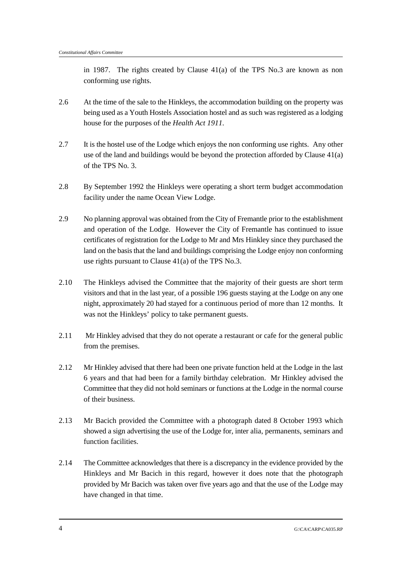in 1987. The rights created by Clause 41(a) of the TPS No.3 are known as non conforming use rights.

- 2.6 At the time of the sale to the Hinkleys, the accommodation building on the property was being used as a Youth Hostels Association hostel and as such was registered as a lodging house for the purposes of the *Health Act 1911.*
- 2.7 It is the hostel use of the Lodge which enjoys the non conforming use rights. Any other use of the land and buildings would be beyond the protection afforded by Clause 41(a) of the TPS No. 3.
- 2.8 By September 1992 the Hinkleys were operating a short term budget accommodation facility under the name Ocean View Lodge.
- 2.9 No planning approval was obtained from the City of Fremantle prior to the establishment and operation of the Lodge. However the City of Fremantle has continued to issue certificates of registration for the Lodge to Mr and Mrs Hinkley since they purchased the land on the basis that the land and buildings comprising the Lodge enjoy non conforming use rights pursuant to Clause 41(a) of the TPS No.3.
- 2.10 The Hinkleys advised the Committee that the majority of their guests are short term visitors and that in the last year, of a possible 196 guests staying at the Lodge on any one night, approximately 20 had stayed for a continuous period of more than 12 months. It was not the Hinkleys' policy to take permanent guests.
- 2.11 Mr Hinkley advised that they do not operate a restaurant or cafe for the general public from the premises.
- 2.12 Mr Hinkley advised that there had been one private function held at the Lodge in the last 6 years and that had been for a family birthday celebration. Mr Hinkley advised the Committee that they did not hold seminars or functions at the Lodge in the normal course of their business.
- 2.13 Mr Bacich provided the Committee with a photograph dated 8 October 1993 which showed a sign advertising the use of the Lodge for, inter alia, permanents, seminars and function facilities.
- 2.14 The Committee acknowledges that there is a discrepancy in the evidence provided by the Hinkleys and Mr Bacich in this regard, however it does note that the photograph provided by Mr Bacich was taken over five years ago and that the use of the Lodge may have changed in that time.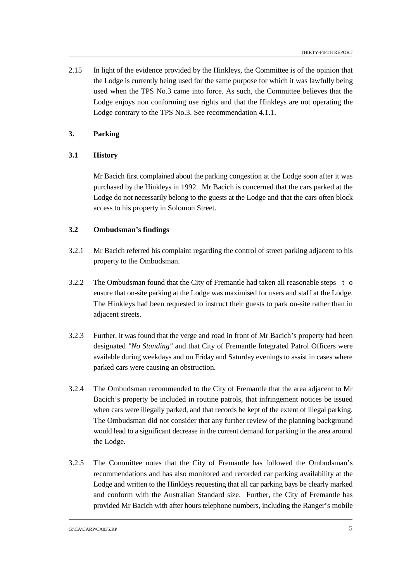2.15 In light of the evidence provided by the Hinkleys, the Committee is of the opinion that the Lodge is currently being used for the same purpose for which it was lawfully being used when the TPS No.3 came into force. As such, the Committee believes that the Lodge enjoys non conforming use rights and that the Hinkleys are not operating the Lodge contrary to the TPS No.3. See recommendation 4.1.1.

### **3. Parking**

#### **3.1 History**

Mr Bacich first complained about the parking congestion at the Lodge soon after it was purchased by the Hinkleys in 1992. Mr Bacich is concerned that the cars parked at the Lodge do not necessarily belong to the guests at the Lodge and that the cars often block access to his property in Solomon Street.

#### **3.2 Ombudsman's findings**

- 3.2.1 Mr Bacich referred his complaint regarding the control of street parking adjacent to his property to the Ombudsman.
- 3.2.2 The Ombudsman found that the City of Fremantle had taken all reasonable steps t o ensure that on-site parking at the Lodge was maximised for users and staff at the Lodge. The Hinkleys had been requested to instruct their guests to park on-site rather than in adiacent streets.
- 3.2.3 Further, it was found that the verge and road in front of Mr Bacich's property had been designated *"No Standing"* and that City of Fremantle Integrated Patrol Officers were available during weekdays and on Friday and Saturday evenings to assist in cases where parked cars were causing an obstruction.
- 3.2.4 The Ombudsman recommended to the City of Fremantle that the area adjacent to Mr Bacich's property be included in routine patrols, that infringement notices be issued when cars were illegally parked, and that records be kept of the extent of illegal parking. The Ombudsman did not consider that any further review of the planning background would lead to a significant decrease in the current demand for parking in the area around the Lodge.
- 3.2.5 The Committee notes that the City of Fremantle has followed the Ombudsman's recommendations and has also monitored and recorded car parking availability at the Lodge and written to the Hinkleys requesting that all car parking bays be clearly marked and conform with the Australian Standard size. Further, the City of Fremantle has provided Mr Bacich with after hours telephone numbers, including the Ranger's mobile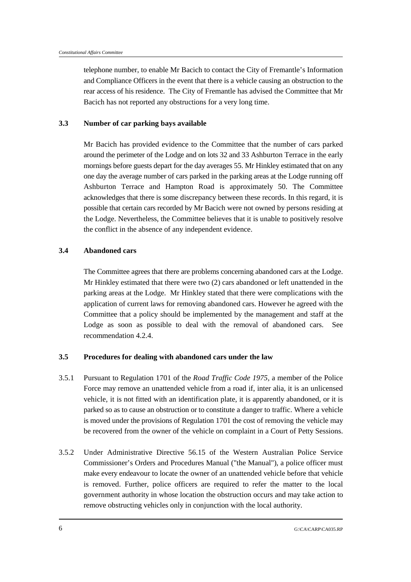telephone number, to enable Mr Bacich to contact the City of Fremantle's Information and Compliance Officers in the event that there is a vehicle causing an obstruction to the rear access of his residence. The City of Fremantle has advised the Committee that Mr Bacich has not reported any obstructions for a very long time.

#### **3.3 Number of car parking bays available**

Mr Bacich has provided evidence to the Committee that the number of cars parked around the perimeter of the Lodge and on lots 32 and 33 Ashburton Terrace in the early mornings before guests depart for the day averages 55. Mr Hinkley estimated that on any one day the average number of cars parked in the parking areas at the Lodge running off Ashburton Terrace and Hampton Road is approximately 50. The Committee acknowledges that there is some discrepancy between these records. In this regard, it is possible that certain cars recorded by Mr Bacich were not owned by persons residing at the Lodge. Nevertheless, the Committee believes that it is unable to positively resolve the conflict in the absence of any independent evidence.

#### **3.4 Abandoned cars**

The Committee agrees that there are problems concerning abandoned cars at the Lodge. Mr Hinkley estimated that there were two (2) cars abandoned or left unattended in the parking areas at the Lodge. Mr Hinkley stated that there were complications with the application of current laws for removing abandoned cars. However he agreed with the Committee that a policy should be implemented by the management and staff at the Lodge as soon as possible to deal with the removal of abandoned cars. See recommendation 4.2.4.

#### **3.5 Procedures for dealing with abandoned cars under the law**

- 3.5.1 Pursuant to Regulation 1701 of the *Road Traffic Code 1975,* a member of the Police Force may remove an unattended vehicle from a road if, inter alia, it is an unlicensed vehicle, it is not fitted with an identification plate, it is apparently abandoned, or it is parked so as to cause an obstruction or to constitute a danger to traffic. Where a vehicle is moved under the provisions of Regulation 1701 the cost of removing the vehicle may be recovered from the owner of the vehicle on complaint in a Court of Petty Sessions.
- 3.5.2 Under Administrative Directive 56.15 of the Western Australian Police Service Commissioner's Orders and Procedures Manual ("the Manual"), a police officer must make every endeavour to locate the owner of an unattended vehicle before that vehicle is removed. Further, police officers are required to refer the matter to the local government authority in whose location the obstruction occurs and may take action to remove obstructing vehicles only in conjunction with the local authority.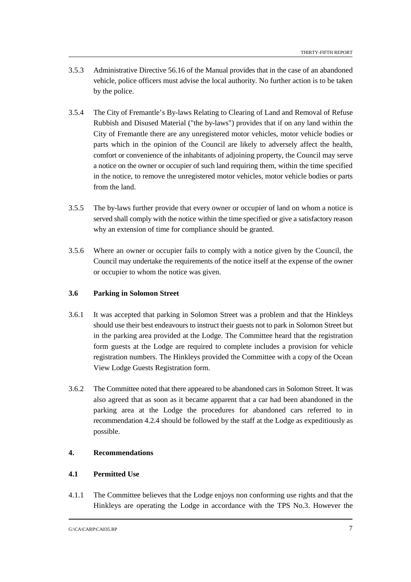- 3.5.3 Administrative Directive 56.16 of the Manual provides that in the case of an abandoned vehicle, police officers must advise the local authority. No further action is to be taken by the police.
- 3.5.4 The City of Fremantle's By-laws Relating to Clearing of Land and Removal of Refuse Rubbish and Disused Material ("the by-laws") provides that if on any land within the City of Fremantle there are any unregistered motor vehicles, motor vehicle bodies or parts which in the opinion of the Council are likely to adversely affect the health, comfort or convenience of the inhabitants of adjoining property, the Council may serve a notice on the owner or occupier of such land requiring them, within the time specified in the notice, to remove the unregistered motor vehicles, motor vehicle bodies or parts from the land.
- 3.5.5 The by-laws further provide that every owner or occupier of land on whom a notice is served shall comply with the notice within the time specified or give a satisfactory reason why an extension of time for compliance should be granted.
- 3.5.6 Where an owner or occupier fails to comply with a notice given by the Council, the Council may undertake the requirements of the notice itself at the expense of the owner or occupier to whom the notice was given.

## **3.6 Parking in Solomon Street**

- 3.6.1 It was accepted that parking in Solomon Street was a problem and that the Hinkleys should use their best endeavours to instruct their guests not to park in Solomon Street but in the parking area provided at the Lodge. The Committee heard that the registration form guests at the Lodge are required to complete includes a provision for vehicle registration numbers. The Hinkleys provided the Committee with a copy of the Ocean View Lodge Guests Registration form.
- 3.6.2 The Committee noted that there appeared to be abandoned cars in Solomon Street. It was also agreed that as soon as it became apparent that a car had been abandoned in the parking area at the Lodge the procedures for abandoned cars referred to in recommendation 4.2.4 should be followed by the staff at the Lodge as expeditiously as possible.

## **4. Recommendations**

## **4.1 Permitted Use**

4.1.1 The Committee believes that the Lodge enjoys non conforming use rights and that the Hinkleys are operating the Lodge in accordance with the TPS No.3. However the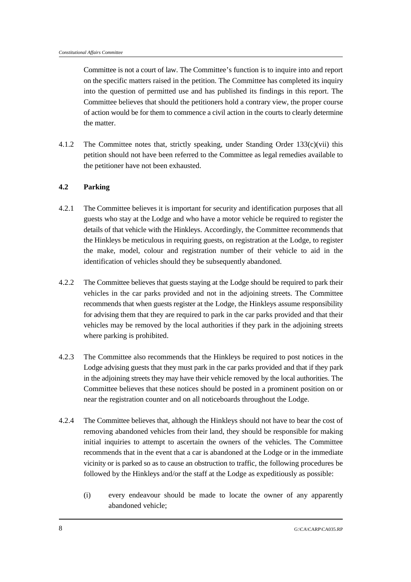Committee is not a court of law. The Committee's function is to inquire into and report on the specific matters raised in the petition. The Committee has completed its inquiry into the question of permitted use and has published its findings in this report. The Committee believes that should the petitioners hold a contrary view, the proper course of action would be for them to commence a civil action in the courts to clearly determine the matter.

4.1.2 The Committee notes that, strictly speaking, under Standing Order 133(c)(vii) this petition should not have been referred to the Committee as legal remedies available to the petitioner have not been exhausted.

## **4.2 Parking**

- 4.2.1 The Committee believes it is important for security and identification purposes that all guests who stay at the Lodge and who have a motor vehicle be required to register the details of that vehicle with the Hinkleys. Accordingly, the Committee recommends that the Hinkleys be meticulous in requiring guests, on registration at the Lodge, to register the make, model, colour and registration number of their vehicle to aid in the identification of vehicles should they be subsequently abandoned.
- 4.2.2 The Committee believes that guests staying at the Lodge should be required to park their vehicles in the car parks provided and not in the adjoining streets. The Committee recommends that when guests register at the Lodge, the Hinkleys assume responsibility for advising them that they are required to park in the car parks provided and that their vehicles may be removed by the local authorities if they park in the adjoining streets where parking is prohibited.
- 4.2.3 The Committee also recommends that the Hinkleys be required to post notices in the Lodge advising guests that they must park in the car parks provided and that if they park in the adjoining streets they may have their vehicle removed by the local authorities. The Committee believes that these notices should be posted in a prominent position on or near the registration counter and on all noticeboards throughout the Lodge.
- 4.2.4 The Committee believes that, although the Hinkleys should not have to bear the cost of removing abandoned vehicles from their land, they should be responsible for making initial inquiries to attempt to ascertain the owners of the vehicles. The Committee recommends that in the event that a car is abandoned at the Lodge or in the immediate vicinity or is parked so as to cause an obstruction to traffic, the following procedures be followed by the Hinkleys and/or the staff at the Lodge as expeditiously as possible:
	- (i) every endeavour should be made to locate the owner of any apparently abandoned vehicle;